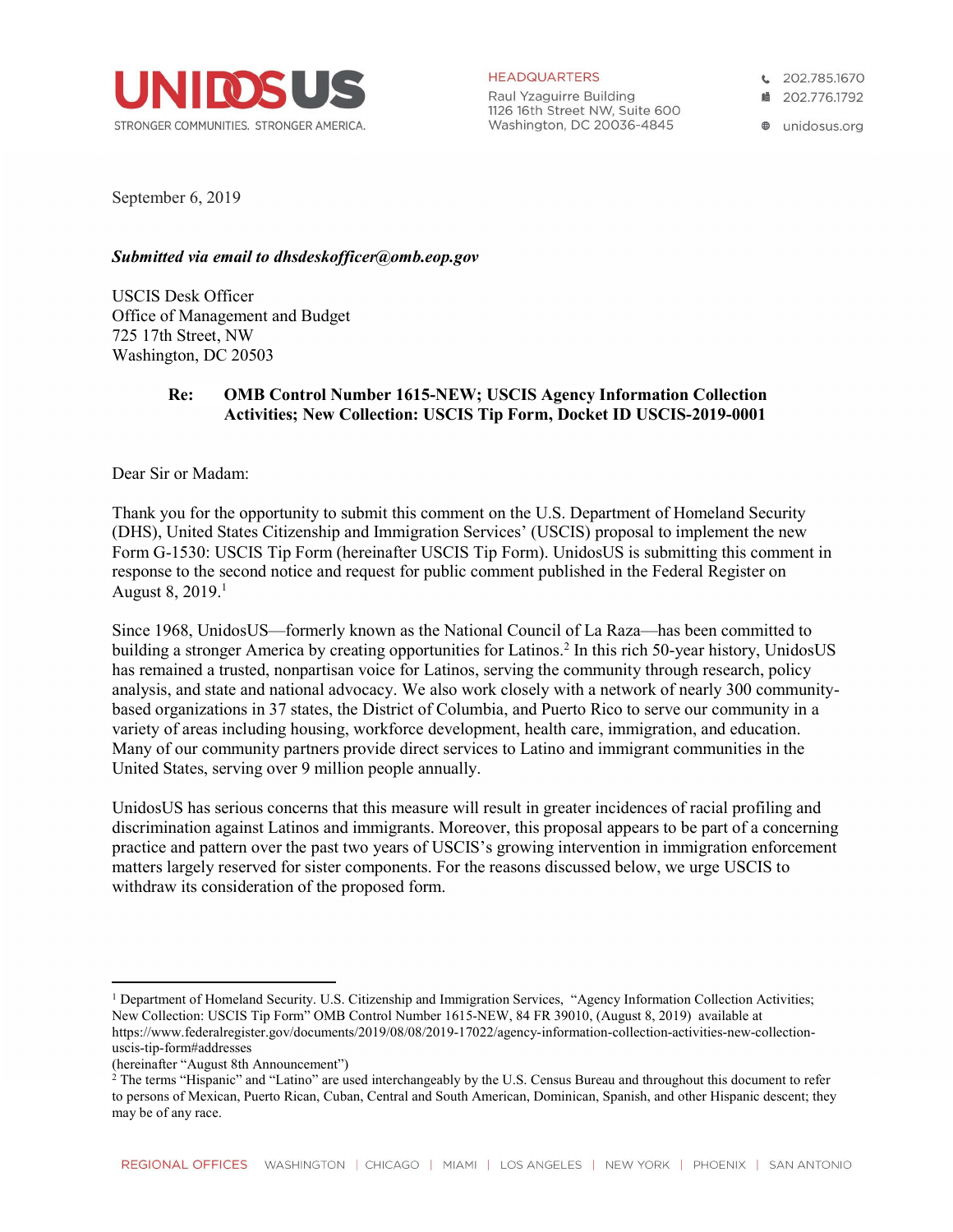

**HEADQUARTERS** 

Raul Yzaguirre Building 1126 16th Street NW, Suite 600 Washington, DC 20036-4845

€ 202.785.1670

■ 202.776.1792

**@** unidosus.org

September 6, 2019

### Submitted via email to dhsdeskofficer@omb.eop.gov

USCIS Desk Officer Office of Management and Budget 725 17th Street, NW Washington, DC 20503

# Re: OMB Control Number 1615-NEW; USCIS Agency Information Collection Activities; New Collection: USCIS Tip Form, Docket ID USCIS-2019-0001

Dear Sir or Madam:

Thank you for the opportunity to submit this comment on the U.S. Department of Homeland Security (DHS), United States Citizenship and Immigration Services' (USCIS) proposal to implement the new Form G-1530: USCIS Tip Form (hereinafter USCIS Tip Form). UnidosUS is submitting this comment in response to the second notice and request for public comment published in the Federal Register on August 8,  $2019<sup>1</sup>$ 

Since 1968, UnidosUS—formerly known as the National Council of La Raza—has been committed to building a stronger America by creating opportunities for Latinos.<sup>2</sup> In this rich 50-year history, UnidosUS has remained a trusted, nonpartisan voice for Latinos, serving the community through research, policy analysis, and state and national advocacy. We also work closely with a network of nearly 300 communitybased organizations in 37 states, the District of Columbia, and Puerto Rico to serve our community in a variety of areas including housing, workforce development, health care, immigration, and education. Many of our community partners provide direct services to Latino and immigrant communities in the United States, serving over 9 million people annually.

UnidosUS has serious concerns that this measure will result in greater incidences of racial profiling and discrimination against Latinos and immigrants. Moreover, this proposal appears to be part of a concerning practice and pattern over the past two years of USCIS's growing intervention in immigration enforcement matters largely reserved for sister components. For the reasons discussed below, we urge USCIS to withdraw its consideration of the proposed form.

<sup>&</sup>lt;sup>1</sup> Department of Homeland Security. U.S. Citizenship and Immigration Services, "Agency Information Collection Activities; New Collection: USCIS Tip Form" OMB Control Number 1615-NEW, 84 FR 39010, (August 8, 2019) available at https://www.federalregister.gov/documents/2019/08/08/2019-17022/agency-information-collection-activities-new-collectionuscis-tip-form#addresses

<sup>(</sup>hereinafter "August 8th Announcement")

<sup>&</sup>lt;sup>2</sup> The terms "Hispanic" and "Latino" are used interchangeably by the U.S. Census Bureau and throughout this document to refer to persons of Mexican, Puerto Rican, Cuban, Central and South American, Dominican, Spanish, and other Hispanic descent; they may be of any race.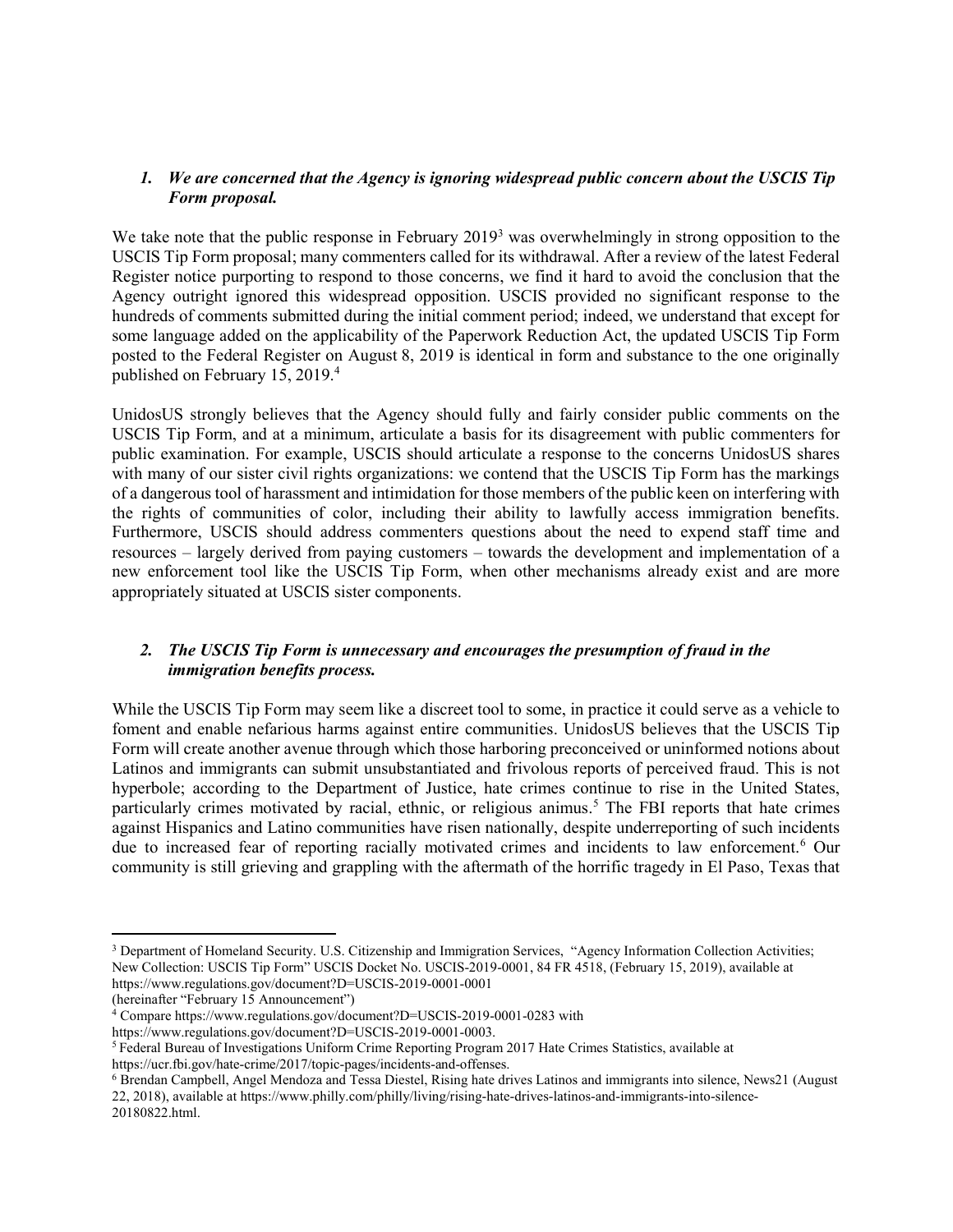### 1. We are concerned that the Agency is ignoring widespread public concern about the USCIS Tip Form proposal.

We take note that the public response in February 2019<sup>3</sup> was overwhelmingly in strong opposition to the USCIS Tip Form proposal; many commenters called for its withdrawal. After a review of the latest Federal Register notice purporting to respond to those concerns, we find it hard to avoid the conclusion that the Agency outright ignored this widespread opposition. USCIS provided no significant response to the hundreds of comments submitted during the initial comment period; indeed, we understand that except for some language added on the applicability of the Paperwork Reduction Act, the updated USCIS Tip Form posted to the Federal Register on August 8, 2019 is identical in form and substance to the one originally published on February 15, 2019.<sup>4</sup>

UnidosUS strongly believes that the Agency should fully and fairly consider public comments on the USCIS Tip Form, and at a minimum, articulate a basis for its disagreement with public commenters for public examination. For example, USCIS should articulate a response to the concerns UnidosUS shares with many of our sister civil rights organizations: we contend that the USCIS Tip Form has the markings of a dangerous tool of harassment and intimidation for those members of the public keen on interfering with the rights of communities of color, including their ability to lawfully access immigration benefits. Furthermore, USCIS should address commenters questions about the need to expend staff time and resources – largely derived from paying customers – towards the development and implementation of a new enforcement tool like the USCIS Tip Form, when other mechanisms already exist and are more appropriately situated at USCIS sister components.

### 2. The USCIS Tip Form is unnecessary and encourages the presumption of fraud in the immigration benefits process.

While the USCIS Tip Form may seem like a discreet tool to some, in practice it could serve as a vehicle to foment and enable nefarious harms against entire communities. UnidosUS believes that the USCIS Tip Form will create another avenue through which those harboring preconceived or uninformed notions about Latinos and immigrants can submit unsubstantiated and frivolous reports of perceived fraud. This is not hyperbole; according to the Department of Justice, hate crimes continue to rise in the United States, particularly crimes motivated by racial, ethnic, or religious animus.<sup>5</sup> The FBI reports that hate crimes against Hispanics and Latino communities have risen nationally, despite underreporting of such incidents due to increased fear of reporting racially motivated crimes and incidents to law enforcement.<sup>6</sup> Our community is still grieving and grappling with the aftermath of the horrific tragedy in El Paso, Texas that

<sup>&</sup>lt;sup>3</sup> Department of Homeland Security. U.S. Citizenship and Immigration Services, "Agency Information Collection Activities; New Collection: USCIS Tip Form" USCIS Docket No. USCIS-2019-0001, 84 FR 4518, (February 15, 2019), available at https://www.regulations.gov/document?D=USCIS-2019-0001-0001

<sup>(</sup>hereinafter "February 15 Announcement")

<sup>4</sup> Compare https://www.regulations.gov/document?D=USCIS-2019-0001-0283 with

https://www.regulations.gov/document?D=USCIS-2019-0001-0003.

<sup>5</sup>Federal Bureau of Investigations Uniform Crime Reporting Program 2017 Hate Crimes Statistics, available at https://ucr.fbi.gov/hate-crime/2017/topic-pages/incidents-and-offenses.

<sup>&</sup>lt;sup>6</sup> Brendan Campbell, Angel Mendoza and Tessa Diestel, Rising hate drives Latinos and immigrants into silence, News21 (August 22, 2018), available at https://www.philly.com/philly/living/rising-hate-drives-latinos-and-immigrants-into-silence-20180822.html.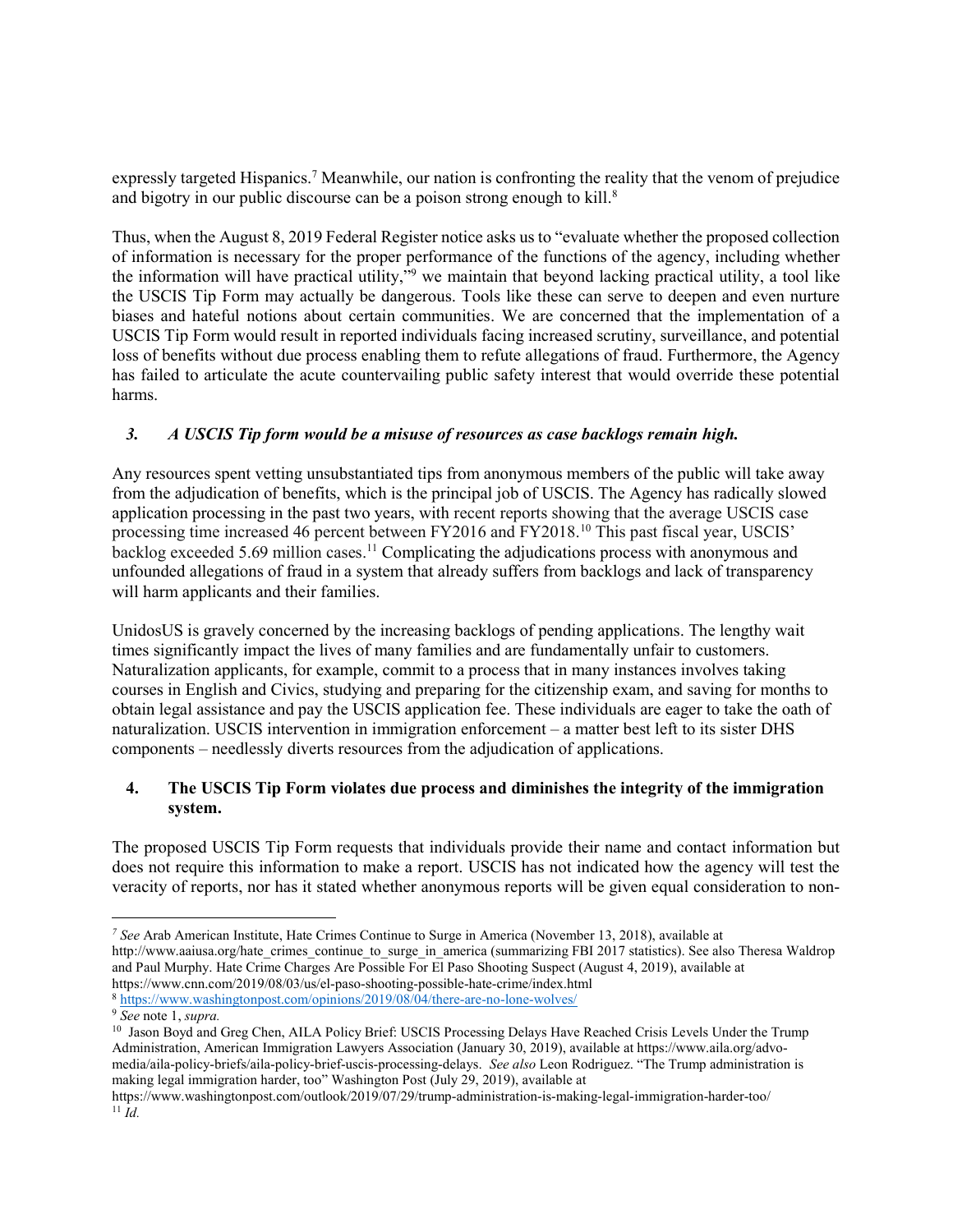expressly targeted Hispanics.<sup>7</sup> Meanwhile, our nation is confronting the reality that the venom of prejudice and bigotry in our public discourse can be a poison strong enough to kill.<sup>8</sup>

Thus, when the August 8, 2019 Federal Register notice asks us to "evaluate whether the proposed collection of information is necessary for the proper performance of the functions of the agency, including whether the information will have practical utility,"<sup>9</sup> we maintain that beyond lacking practical utility, a tool like the USCIS Tip Form may actually be dangerous. Tools like these can serve to deepen and even nurture biases and hateful notions about certain communities. We are concerned that the implementation of a USCIS Tip Form would result in reported individuals facing increased scrutiny, surveillance, and potential loss of benefits without due process enabling them to refute allegations of fraud. Furthermore, the Agency has failed to articulate the acute countervailing public safety interest that would override these potential harms.

### 3. A USCIS Tip form would be a misuse of resources as case backlogs remain high.

Any resources spent vetting unsubstantiated tips from anonymous members of the public will take away from the adjudication of benefits, which is the principal job of USCIS. The Agency has radically slowed application processing in the past two years, with recent reports showing that the average USCIS case processing time increased 46 percent between FY2016 and FY2018.<sup>10</sup> This past fiscal year, USCIS' backlog exceeded 5.69 million cases.<sup>11</sup> Complicating the adjudications process with anonymous and unfounded allegations of fraud in a system that already suffers from backlogs and lack of transparency will harm applicants and their families.

UnidosUS is gravely concerned by the increasing backlogs of pending applications. The lengthy wait times significantly impact the lives of many families and are fundamentally unfair to customers. Naturalization applicants, for example, commit to a process that in many instances involves taking courses in English and Civics, studying and preparing for the citizenship exam, and saving for months to obtain legal assistance and pay the USCIS application fee. These individuals are eager to take the oath of naturalization. USCIS intervention in immigration enforcement – a matter best left to its sister DHS components – needlessly diverts resources from the adjudication of applications.

# 4. The USCIS Tip Form violates due process and diminishes the integrity of the immigration system.

The proposed USCIS Tip Form requests that individuals provide their name and contact information but does not require this information to make a report. USCIS has not indicated how the agency will test the veracity of reports, nor has it stated whether anonymous reports will be given equal consideration to non-

<sup>&</sup>lt;sup>7</sup> See Arab American Institute, Hate Crimes Continue to Surge in America (November 13, 2018), available at http://www.aaiusa.org/hate\_crimes\_continue\_to\_surge\_in\_america (summarizing FBI 2017 statistics). See also Theresa Waldrop and Paul Murphy. Hate Crime Charges Are Possible For El Paso Shooting Suspect (August 4, 2019), available at https://www.cnn.com/2019/08/03/us/el-paso-shooting-possible-hate-crime/index.html

<sup>8</sup> https://www.washingtonpost.com/opinions/2019/08/04/there-are-no-lone-wolves/

<sup>&</sup>lt;sup>9</sup> See note 1, supra.

<sup>&</sup>lt;sup>10</sup> Jason Boyd and Greg Chen, AILA Policy Brief: USCIS Processing Delays Have Reached Crisis Levels Under the Trump Administration, American Immigration Lawyers Association (January 30, 2019), available at https://www.aila.org/advomedia/aila-policy-briefs/aila-policy-brief-uscis-processing-delays. See also Leon Rodriguez. "The Trump administration is making legal immigration harder, too" Washington Post (July 29, 2019), available at

https://www.washingtonpost.com/outlook/2019/07/29/trump-administration-is-making-legal-immigration-harder-too/  $11$   $\tilde{I}d$ .